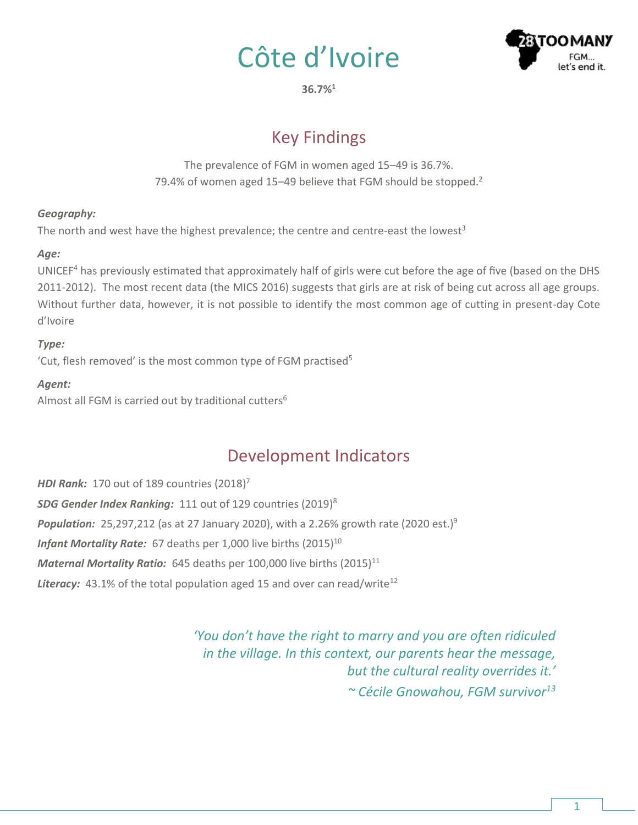



**36.7%<sup>1</sup>**

# Key Findings

The prevalence of FGM in women aged 15–49 is 36.7%. 79.4% of women aged 15-49 believe that FGM should be stopped.<sup>2</sup>

#### *Geography:*

The north and west have the highest prevalence; the centre and centre-east the lowest<sup>3</sup>

### *Age:*

UNICEF<sup>4</sup> has previously estimated that approximately half of girls were cut before the age of five (based on the DHS 2011-2012). The most recent data (the MICS 2016) suggests that girls are at risk of being cut across all age groups. Without further data, however, it is not possible to identify the most common age of cutting in present-day Cote d'Ivoire

### *Type:*

'Cut, flesh removed' is the most common type of FGM practised $5$ 

#### *Agent:*

Almost all FGM is carried out by traditional cutters<sup>6</sup>

# Development Indicators

*HDI Rank:* 170 out of 189 countries (2018) 7 *SDG Gender Index Ranking:* 111 out of 129 countries (2019)<sup>8</sup> **Population:** 25,297,212 (as at 27 January 2020), with a 2.26% growth rate (2020 est.)<sup>9</sup> *Infant Mortality Rate:* 67 deaths per 1,000 live births (2015)<sup>10</sup> *Maternal Mortality Ratio:* 645 deaths per 100,000 live births (2015)<sup>11</sup> Literacy: 43.1% of the total population aged 15 and over can read/write<sup>12</sup>

> *'You don't have the right to marry and you are often ridiculed in the village. In this context, our parents hear the message, but the cultural reality overrides it.' ~ Cécile Gnowahou, FGM survivor13*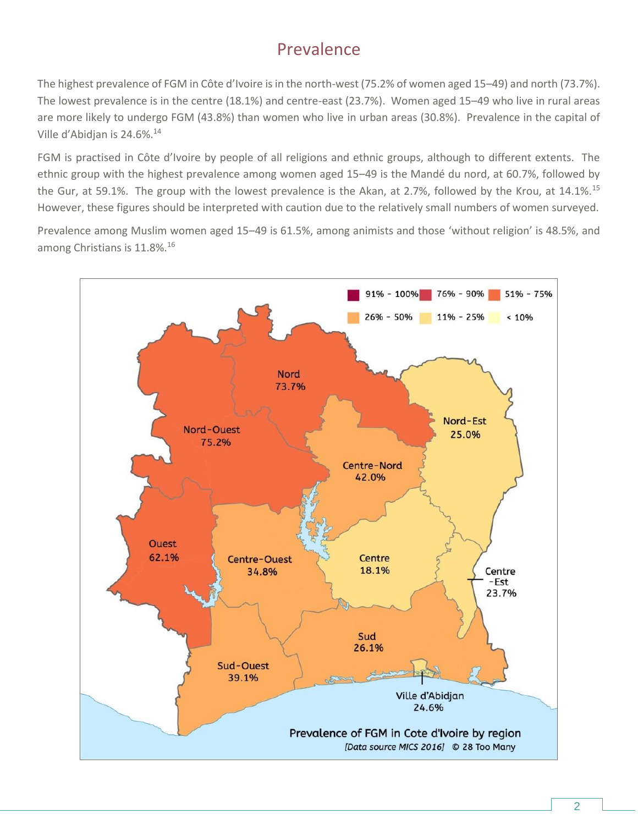## Prevalence

The highest prevalence of FGM in Côte d'Ivoire is in the north-west (75.2% of women aged 15–49) and north (73.7%). The lowest prevalence is in the centre (18.1%) and centre-east (23.7%). Women aged 15–49 who live in rural areas are more likely to undergo FGM (43.8%) than women who live in urban areas (30.8%). Prevalence in the capital of Ville d'Abidjan is 24.6%.<sup>14</sup>

FGM is practised in Côte d'Ivoire by people of all religions and ethnic groups, although to different extents. The ethnic group with the highest prevalence among women aged 15–49 is the Mandé du nord, at 60.7%, followed by the Gur, at 59.1%. The group with the lowest prevalence is the Akan, at 2.7%, followed by the Krou, at 14.1%.<sup>15</sup> However, these figures should be interpreted with caution due to the relatively small numbers of women surveyed.

Prevalence among Muslim women aged 15–49 is 61.5%, among animists and those 'without religion' is 48.5%, and among Christians is 11.8%.<sup>16</sup>

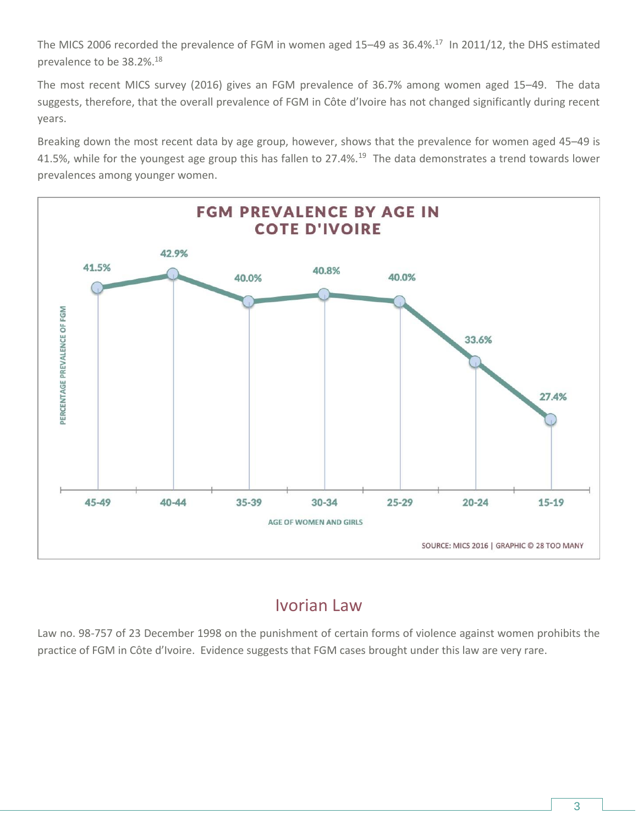The MICS 2006 recorded the prevalence of FGM in women aged 15-49 as 36.4%.<sup>17</sup> In 2011/12, the DHS estimated prevalence to be 38.2%.<sup>18</sup>

The most recent MICS survey (2016) gives an FGM prevalence of 36.7% among women aged 15–49. The data suggests, therefore, that the overall prevalence of FGM in Côte d'Ivoire has not changed significantly during recent years.

Breaking down the most recent data by age group, however, shows that the prevalence for women aged 45–49 is 41.5%, while for the youngest age group this has fallen to 27.4%.<sup>19</sup> The data demonstrates a trend towards lower prevalences among younger women.



### Ivorian Law

Law no. 98-757 of 23 December 1998 on the punishment of certain forms of violence against women prohibits the practice of FGM in Côte d'Ivoire. Evidence suggests that FGM cases brought under this law are very rare.